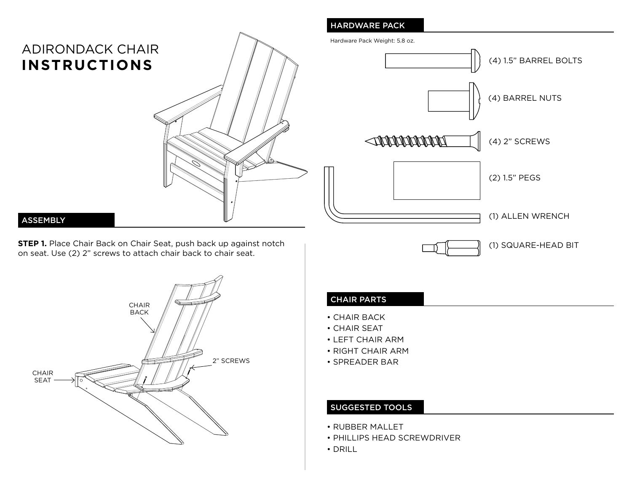# ADIRONDACK CHAIR **INSTRUCTIONS**



#### ASSEMBLY

**STEP 1.** Place Chair Back on Chair Seat, push back up against notch on seat. Use (2) 2" screws to attach chair back to chair seat.



# HARDWARE PACK

Hardware Pack Weight: 5.8 oz.



## CHAIR PARTS

- CHAIR BACK
- CHAIR SEAT
- LEFT CHAIR ARM
- RIGHT CHAIR ARM
- SPREADER BAR

### SUGGESTED TOOLS

- RUBBER MALLET
- PHILLIPS HEAD SCREWDRIVER
- DRILL